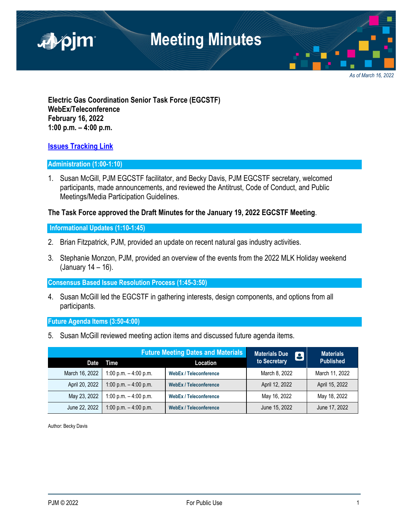

*As of March 16, 2022*

**Electric Gas Coordination Senior Task Force (EGCSTF) WebEx/Teleconference February 16, 2022 1:00 p.m. – 4:00 p.m.** 

### **Issues Tracking Link**

#### **Administration (1:00-1:10)**

1. Susan McGill, PJM EGCSTF facilitator, and Becky Davis, PJM EGCSTF secretary, welcomed participants, made announcements, and reviewed the Antitrust, Code of Conduct, and Public Meetings/Media Participation Guidelines.

### **The Task Force approved the Draft Minutes for the January 19, 2022 EGCSTF Meeting**.

### **Informational Updates (1:10-1:45)**

- 2. Brian Fitzpatrick, PJM, provided an update on recent natural gas industry activities.
- 3. Stephanie Monzon, PJM, provided an overview of the events from the 2022 MLK Holiday weekend (January 14 – 16).

#### **Consensus Based Issue Resolution Process (1:45-3:50)**

4. Susan McGill led the EGCSTF in gathering interests, design components, and options from all participants.

#### **Future Agenda Items (3:50-4:00)**

5. Susan McGill reviewed meeting action items and discussed future agenda items.

| <b>Future Meeting Dates and Materials</b> |                         |                               | <b>Materials Due</b><br>8 | <b>Materials</b> |
|-------------------------------------------|-------------------------|-------------------------------|---------------------------|------------------|
| Date                                      | Time                    | Location                      | to Secretary              | <b>Published</b> |
| March 16, 2022                            | 1:00 p.m. $-$ 4:00 p.m. | <b>WebEx / Teleconference</b> | March 8, 2022             | March 11, 2022   |
| April 20, 2022                            | 1:00 p.m. $-$ 4:00 p.m. | <b>WebEx / Teleconference</b> | April 12, 2022            | April 15, 2022   |
| May 23, 2022                              | 1:00 p.m. $-$ 4:00 p.m. | <b>WebEx / Teleconference</b> | May 16, 2022              | May 18, 2022     |
| June 22, 2022                             | 1:00 p.m. $-$ 4:00 p.m. | <b>WebEx / Teleconference</b> | June 15, 2022             | June 17, 2022    |

Author: Becky Davis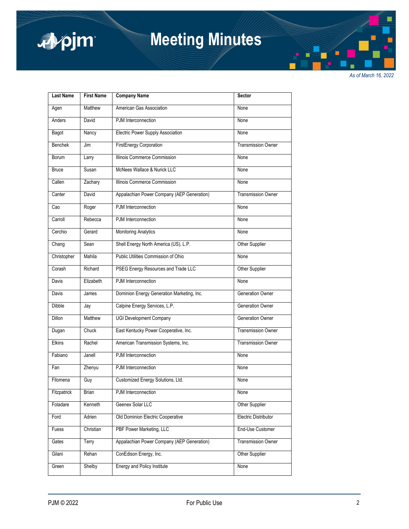

# **Meeting Minutes**

*As of March 16, 2022*

| <b>Last Name</b> | <b>First Name</b> | <b>Company Name</b>                        | Sector                    |
|------------------|-------------------|--------------------------------------------|---------------------------|
| Agen             | Matthew           | American Gas Association                   | None                      |
| Anders           | David             | PJM Interconnection                        | None                      |
| Bagot            | Nancy             | Electric Power Supply Association          | None                      |
| <b>Benchek</b>   | Jim               | <b>FirstEnergy Corporation</b>             | <b>Transmission Owner</b> |
| Borum            | Larry             | Illinois Commerce Commission               | None                      |
| <b>Bruce</b>     | Susan             | McNees Wallace & Nurick LLC                | None                      |
| Callen           | Zachary           | Illinois Commerce Commission               | None                      |
| Canter           | David             | Appalachian Power Company (AEP Generation) | <b>Transmission Owner</b> |
| Cao              | Roger             | PJM Interconnection                        | None                      |
| Carroll          | Rebecca           | PJM Interconnection                        | None                      |
| Cerchio          | Gerard            | <b>Monitoring Analytics</b>                | None                      |
| Chang            | Sean              | Shell Energy North America (US), L.P.      | Other Supplier            |
| Christopher      | Mahila            | Public Utilities Commission of Ohio        | None                      |
| Corash           | Richard           | PSEG Energy Resources and Trade LLC        | Other Supplier            |
| Davis            | Elizabeth         | PJM Interconnection                        | None                      |
| Davis            | James             | Dominion Energy Generation Marketing, Inc. | Generation Owner          |
| <b>Dibble</b>    | Jay               | Calpine Energy Services, L.P.              | <b>Generation Owner</b>   |
| <b>Dillon</b>    | Matthew           | <b>UGI Development Company</b>             | Generation Owner          |
| Dugan            | Chuck             | East Kentucky Power Cooperative, Inc.      | <b>Transmission Owner</b> |
| <b>Elkins</b>    | Rachel            | American Transmission Systems, Inc.        | <b>Transmission Owner</b> |
| Fabiano          | Janell            | PJM Interconnection                        | None                      |
| Fan              | Zhenyu            | PJM Interconnection                        | None                      |
| Filomena         | Guy               | Customized Energy Solutions, Ltd.          | None                      |
| Fitzpatrick      | Brian             | PJM Interconnection                        | None                      |
| Foladare         | Kenneth           | Geenex Solar LLC                           | Other Supplier            |
| Ford             | Adrien            | Old Dominion Electric Cooperative          | Electric Distributor      |
| Fuess            | Christian         | PBF Power Marketing, LLC                   | End-Use Customer          |
| Gates            | Terry             | Appalachian Power Company (AEP Generation) | Transmission Owner        |
| Gilani           | Rehan             | ConEdison Energy, Inc.                     | Other Supplier            |
| Green            | Shelby            | Energy and Policy Institute                | None                      |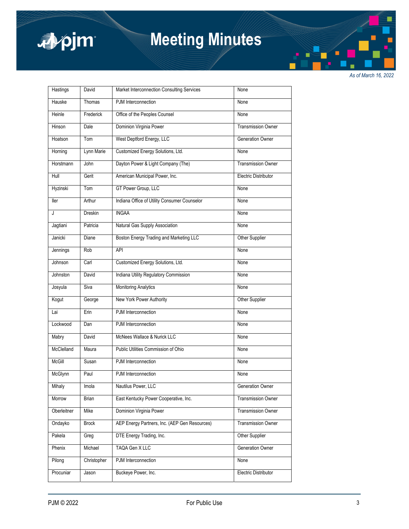

# **Meeting Minutes**

*As of March 16, 2022*

| Hastings      | David          | Market Interconnection Consulting Services    | None                      |
|---------------|----------------|-----------------------------------------------|---------------------------|
| Hauske        | Thomas         | PJM Interconnection                           | None                      |
| Heinle        | Frederick      | Office of the Peoples Counsel                 | None                      |
| Hinson        | Dale           | Dominion Virginia Power                       | <b>Transmission Owner</b> |
| Hoatson       | Tom            | West Deptford Energy, LLC                     | <b>Generation Owner</b>   |
| Horning       | Lynn Marie     | Customized Energy Solutions, Ltd.             | None                      |
| Horstmann     | John           | Dayton Power & Light Company (The)            | <b>Transmission Owner</b> |
| Hull          | Gerit          | American Municipal Power, Inc.                | Electric Distributor      |
| Hyzinski      | Tom            | GT Power Group, LLC                           | None                      |
| ller          | Arthur         | Indiana Office of Utility Consumer Counselor  | None                      |
| J             | <b>Dreskin</b> | <b>INGAA</b>                                  | None                      |
| Jagtiani      | Patricia       | Natural Gas Supply Association                | None                      |
| Janicki       | Diane          | Boston Energy Trading and Marketing LLC       | Other Supplier            |
| Jennings      | Rob            | <b>API</b>                                    | None                      |
| Johnson       | Carl           | Customized Energy Solutions, Ltd.             | None                      |
| Johnston      | David          | Indiana Utility Regulatory Commission         | None                      |
| Josyula       | Siva           | <b>Monitoring Analytics</b>                   | None                      |
| Kogut         | George         | New York Power Authority                      | Other Supplier            |
| Lai           | Erin           | PJM Interconnection                           | None                      |
| Lockwood      | Dan            | PJM Interconnection                           | None                      |
| Mabry         | David          | McNees Wallace & Nurick LLC                   | None                      |
| McClelland    | Maura          | Public Utilities Commission of Ohio           | None                      |
| <b>McGill</b> | Susan          | PJM Interconnection                           | None                      |
| McGlynn       | Paul           | PJM Interconnection                           | None                      |
| Mihaly        | Imola          | Nautilus Power, LLC                           | Generation Owner          |
| Morrow        | Brian          | East Kentucky Power Cooperative, Inc.         | <b>Transmission Owner</b> |
| Oberleitner   | Mike           | Dominion Virginia Power                       | <b>Transmission Owner</b> |
| Ondayko       | <b>Brock</b>   | AEP Energy Partners, Inc. (AEP Gen Resources) | <b>Transmission Owner</b> |
| Pakela        | Greg           | DTE Energy Trading, Inc.                      | Other Supplier            |
| Phenix        | Michael        | TAQA Gen X LLC                                | Generation Owner          |
| Pilong        | Christopher    | PJM Interconnection                           | None                      |
| Procuniar     | Jason          | Buckeye Power, Inc.                           | Electric Distributor      |